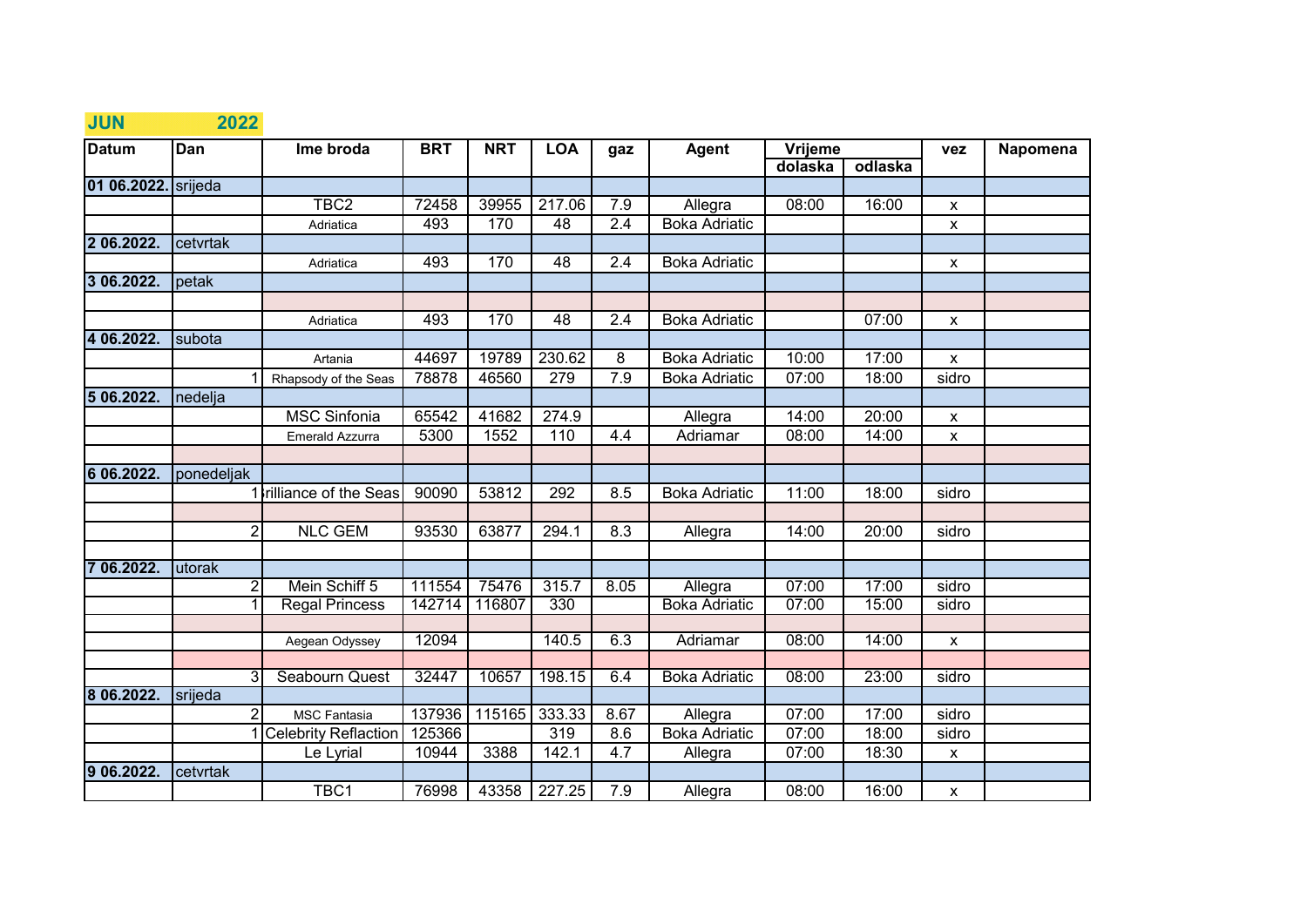| <b>JUN</b>   | 2022           |                          |            |            |            |      |                      |         |         |                    |          |
|--------------|----------------|--------------------------|------------|------------|------------|------|----------------------|---------|---------|--------------------|----------|
| <b>Datum</b> | Dan            | Ime broda                | <b>BRT</b> | <b>NRT</b> | <b>LOA</b> | gaz  | <b>Agent</b>         | Vrijeme |         | <b>vez</b>         | Napomena |
|              |                |                          |            |            |            |      |                      | dolaska | odlaska |                    |          |
| 01 06.2022.  | srijeda        |                          |            |            |            |      |                      |         |         |                    |          |
|              |                | TBC <sub>2</sub>         | 72458      | 39955      | 217.06     | 7.9  | Allegra              | 08:00   | 16:00   | $\mathsf{x}$       |          |
|              |                | Adriatica                | 493        | 170        | 48         | 2.4  | <b>Boka Adriatic</b> |         |         | $\mathsf{x}$       |          |
| 2 06.2022.   | cetvrtak       |                          |            |            |            |      |                      |         |         |                    |          |
|              |                | Adriatica                | 493        | 170        | 48         | 2.4  | <b>Boka Adriatic</b> |         |         | $\mathsf{x}$       |          |
| 3 06.2022.   | petak          |                          |            |            |            |      |                      |         |         |                    |          |
|              |                |                          |            |            |            |      |                      |         |         |                    |          |
|              |                | Adriatica                | 493        | 170        | 48         | 2.4  | <b>Boka Adriatic</b> |         | 07:00   | $\pmb{\mathsf{X}}$ |          |
| 4 06.2022.   | subota         |                          |            |            |            |      |                      |         |         |                    |          |
|              |                | Artania                  | 44697      | 19789      | 230.62     | 8    | <b>Boka Adriatic</b> | 10:00   | 17:00   | X                  |          |
|              |                | Rhapsody of the Seas     | 78878      | 46560      | 279        | 7.9  | <b>Boka Adriatic</b> | 07:00   | 18:00   | sidro              |          |
| 5 06.2022.   | nedelja        |                          |            |            |            |      |                      |         |         |                    |          |
|              |                | <b>MSC Sinfonia</b>      | 65542      | 41682      | 274.9      |      | Allegra              | 14:00   | 20:00   | $\mathsf{x}$       |          |
|              |                | Emerald Azzurra          | 5300       | 1552       | 110        | 4.4  | Adriamar             | 08:00   | 14:00   | $\pmb{\mathsf{X}}$ |          |
|              |                |                          |            |            |            |      |                      |         |         |                    |          |
| 6 06.2022.   | ponedeljak     |                          |            |            |            |      |                      |         |         |                    |          |
|              |                | 1 Irilliance of the Seas | 90090      | 53812      | 292        | 8.5  | <b>Boka Adriatic</b> | 11:00   | 18:00   | sidro              |          |
|              |                |                          |            |            |            |      |                      |         |         |                    |          |
|              | 2              | <b>NLC GEM</b>           | 93530      | 63877      | 294.1      | 8.3  | Allegra              | 14:00   | 20:00   | sidro              |          |
|              |                |                          |            |            |            |      |                      |         |         |                    |          |
| 06.2022.     | utorak         |                          |            |            |            |      |                      |         |         |                    |          |
|              | $\overline{2}$ | Mein Schiff 5            | 111554     | 75476      | 315.7      | 8.05 | Allegra              | 07:00   | 17:00   | sidro              |          |
|              |                | <b>Regal Princess</b>    | 142714     | 116807     | 330        |      | <b>Boka Adriatic</b> | 07:00   | 15:00   | sidro              |          |
|              |                |                          |            |            |            |      |                      |         |         |                    |          |
|              |                | Aegean Odyssey           | 12094      |            | 140.5      | 6.3  | Adriamar             | 08:00   | 14:00   | $\pmb{\mathsf{X}}$ |          |
|              | 3              | Seabourn Quest           | 32447      | 10657      | 198.15     | 6.4  | <b>Boka Adriatic</b> | 08:00   | 23:00   | sidro              |          |
| 8 06.2022.   | srijeda        |                          |            |            |            |      |                      |         |         |                    |          |
|              | 2              | <b>MSC Fantasia</b>      | 137936     | 115165     | 333.33     | 8.67 | Allegra              | 07:00   | 17:00   | sidro              |          |
|              |                | 1 Celebrity Reflaction   | 125366     |            | 319        | 8.6  | <b>Boka Adriatic</b> | 07:00   | 18:00   | sidro              |          |
|              |                | Le Lyrial                | 10944      | 3388       | 142.1      | 4.7  | Allegra              | 07:00   | 18:30   | $\pmb{\mathsf{X}}$ |          |
| 9 06.2022.   | cetvrtak       |                          |            |            |            |      |                      |         |         |                    |          |
|              |                | TBC1                     | 76998      | 43358      | 227.25     | 7.9  | Allegra              | 08:00   | 16:00   | $\pmb{\mathsf{X}}$ |          |
|              |                |                          |            |            |            |      |                      |         |         |                    |          |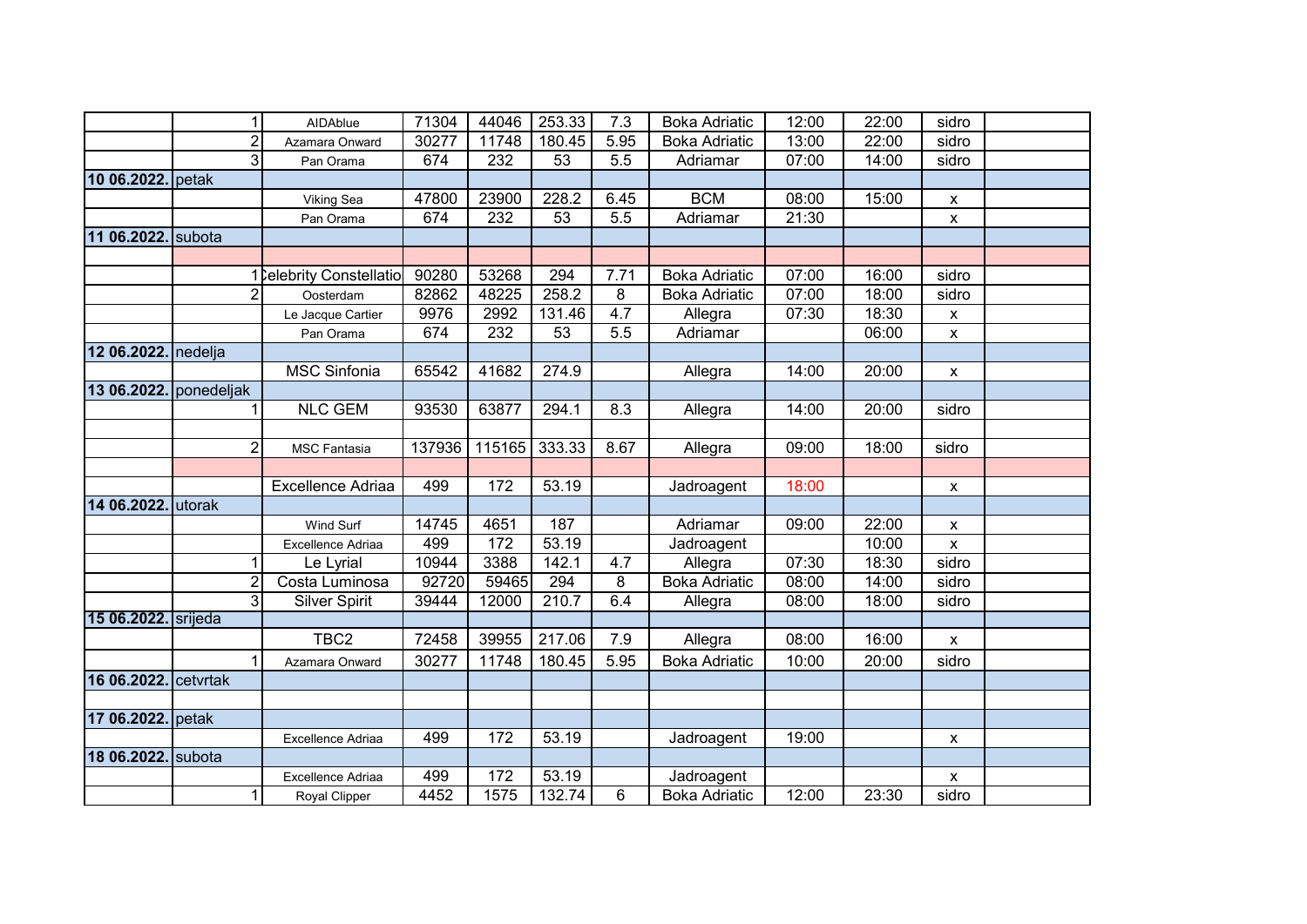|                     | $\mathbf{1}$   | AIDAblue                 | 71304  | 44046  | 253.33 | 7.3              | <b>Boka Adriatic</b> | 12:00 | 22:00 | sidro                     |  |
|---------------------|----------------|--------------------------|--------|--------|--------|------------------|----------------------|-------|-------|---------------------------|--|
|                     | $\overline{c}$ | Azamara Onward           | 30277  | 11748  | 180.45 | 5.95             | <b>Boka Adriatic</b> | 13:00 | 22:00 | sidro                     |  |
|                     | 3              | Pan Orama                | 674    | 232    | 53     | 5.5              | Adriamar             | 07:00 | 14:00 | sidro                     |  |
| 10 06.2022. petak   |                |                          |        |        |        |                  |                      |       |       |                           |  |
|                     |                | Viking Sea               | 47800  | 23900  | 228.2  | 6.45             | <b>BCM</b>           | 08:00 | 15:00 | Х                         |  |
|                     |                | Pan Orama                | 674    | 232    | 53     | 5.5              | Adriamar             | 21:30 |       | $\pmb{\mathsf{x}}$        |  |
| 11 06.2022. subota  |                |                          |        |        |        |                  |                      |       |       |                           |  |
|                     |                |                          |        |        |        |                  |                      |       |       |                           |  |
|                     |                | 1 Celebrity Constellatio | 90280  | 53268  | 294    | 7.71             | <b>Boka Adriatic</b> | 07:00 | 16:00 | sidro                     |  |
|                     | 2              | Oosterdam                | 82862  | 48225  | 258.2  | 8                | <b>Boka Adriatic</b> | 07:00 | 18:00 | sidro                     |  |
|                     |                | Le Jacque Cartier        | 9976   | 2992   | 131.46 | 4.7              | Allegra              | 07:30 | 18:30 | X                         |  |
|                     |                | Pan Orama                | 674    | 232    | 53     | $\overline{5.5}$ | Adriamar             |       | 06:00 | X                         |  |
| 12 06.2022. nedelja |                |                          |        |        |        |                  |                      |       |       |                           |  |
|                     |                | <b>MSC Sinfonia</b>      | 65542  | 41682  | 274.9  |                  | Allegra              | 14:00 | 20:00 | X                         |  |
| 13 06.2022.         | ponedeljak     |                          |        |        |        |                  |                      |       |       |                           |  |
|                     | 1              | <b>NLC GEM</b>           | 93530  | 63877  | 294.1  | 8.3              | Allegra              | 14:00 | 20:00 | sidro                     |  |
|                     |                |                          |        |        |        |                  |                      |       |       |                           |  |
|                     | $\overline{2}$ | <b>MSC Fantasia</b>      | 137936 | 115165 | 333.33 | 8.67             | Allegra              | 09:00 | 18:00 | sidro                     |  |
|                     |                |                          |        |        |        |                  |                      |       |       |                           |  |
|                     |                | Excellence Adriaa        | 499    | 172    | 53.19  |                  | Jadroagent           | 18:00 |       | $\boldsymbol{\mathsf{x}}$ |  |
| 14 06.2022. utorak  |                |                          |        |        |        |                  |                      |       |       |                           |  |
|                     |                | Wind Surf                | 14745  | 4651   | 187    |                  | Adriamar             | 09:00 | 22:00 | X                         |  |
|                     |                | Excellence Adriaa        | 499    | 172    | 53.19  |                  | Jadroagent           |       | 10:00 | X                         |  |
|                     | 1              | Le Lyrial                | 10944  | 3388   | 142.1  | 4.7              | Allegra              | 07:30 | 18:30 | sidro                     |  |
|                     | $\overline{2}$ | Costa Luminosa           | 92720  | 59465  | 294    | 8                | <b>Boka Adriatic</b> | 08:00 | 14:00 | sidro                     |  |
|                     | دن             | <b>Silver Spirit</b>     | 39444  | 12000  | 210.7  | 6.4              | Allegra              | 08:00 | 18:00 | sidro                     |  |
| 15 06.2022. srijeda |                |                          |        |        |        |                  |                      |       |       |                           |  |
|                     |                | TBC <sub>2</sub>         | 72458  | 39955  | 217.06 | 7.9              | Allegra              | 08:00 | 16:00 | $\mathsf{x}$              |  |
|                     |                | Azamara Onward           | 30277  | 11748  | 180.45 | 5.95             | <b>Boka Adriatic</b> | 10:00 | 20:00 | sidro                     |  |
| 16 06.2022.         | cetvrtak       |                          |        |        |        |                  |                      |       |       |                           |  |
|                     |                |                          |        |        |        |                  |                      |       |       |                           |  |
| 17 06.2022. petak   |                |                          |        |        |        |                  |                      |       |       |                           |  |
|                     |                | Excellence Adriaa        | 499    | 172    | 53.19  |                  | Jadroagent           | 19:00 |       | X                         |  |
| 18 06.2022. subota  |                |                          |        |        |        |                  |                      |       |       |                           |  |
|                     |                | Excellence Adriaa        | 499    | 172    | 53.19  |                  | Jadroagent           |       |       | $\boldsymbol{\mathsf{x}}$ |  |
|                     | 1              | Royal Clipper            | 4452   | 1575   | 132.74 | 6                | <b>Boka Adriatic</b> | 12:00 | 23:30 | sidro                     |  |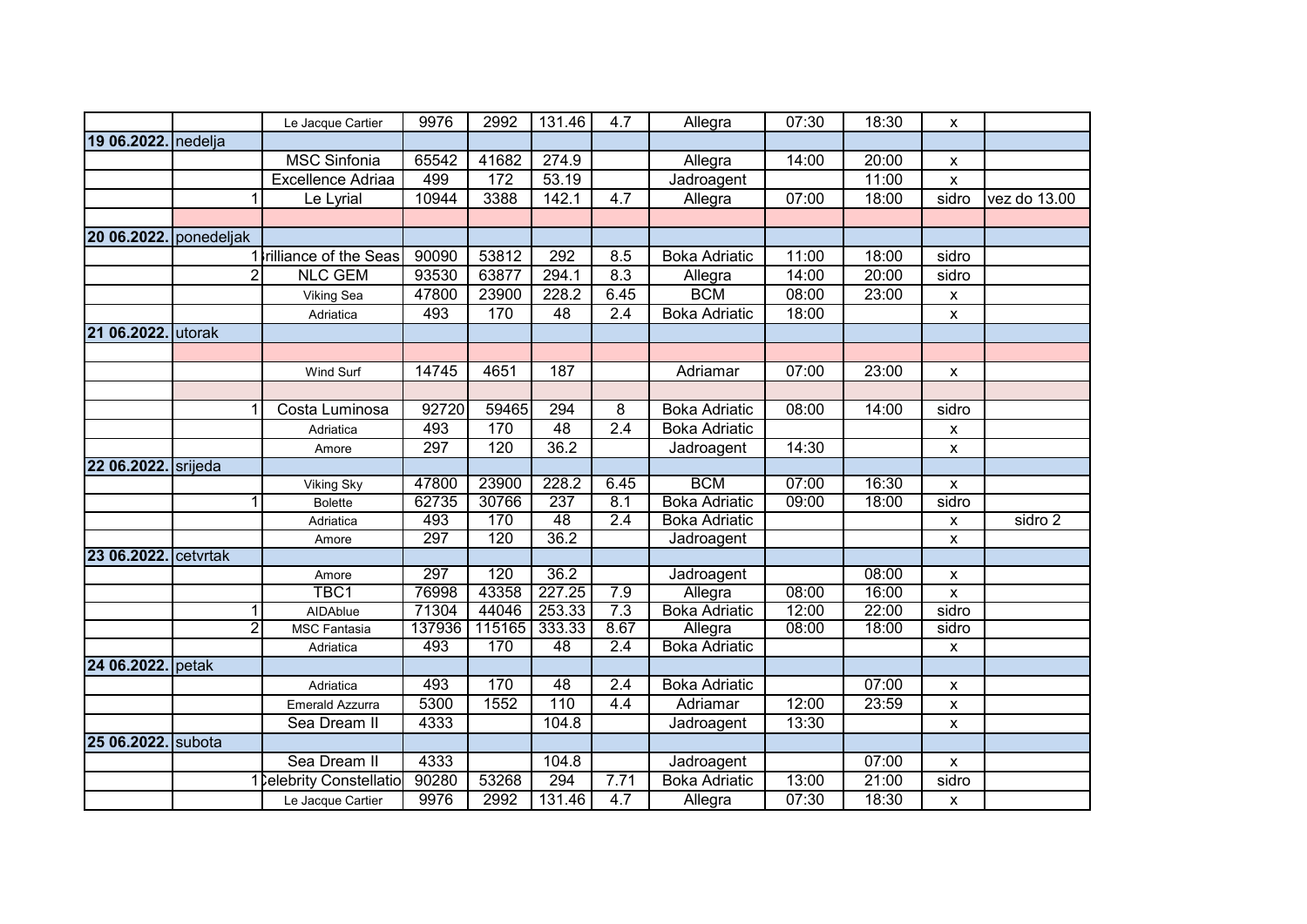|                      |            | Le Jacque Cartier        | 9976          | 2992          | 131.46            | 4.7              | Allegra                         | 07:30 | 18:30 | X                  |              |
|----------------------|------------|--------------------------|---------------|---------------|-------------------|------------------|---------------------------------|-------|-------|--------------------|--------------|
| 19 06.2022.          | nedelja    |                          |               |               |                   |                  |                                 |       |       |                    |              |
|                      |            | <b>MSC Sinfonia</b>      | 65542         | 41682         | 274.9             |                  | Allegra                         | 14:00 | 20:00 | X                  |              |
|                      |            | <b>Excellence Adriaa</b> | 499           | 172           | 53.19             |                  | Jadroagent                      |       | 11:00 | X                  |              |
|                      | 1          | Le Lyrial                | 10944         | 3388          | 142.1             | 4.7              | Allegra                         | 07:00 | 18:00 | sidro              | vez do 13.00 |
|                      |            |                          |               |               |                   |                  |                                 |       |       |                    |              |
| 20 06.2022.          | ponedeljak |                          |               |               |                   |                  |                                 |       |       |                    |              |
|                      |            | 1 Irilliance of the Seas | 90090         | 53812         | $\overline{292}$  | 8.5              | <b>Boka Adriatic</b>            | 11:00 | 18:00 | sidro              |              |
|                      | 2          | <b>NLC GEM</b>           | 93530         | 63877         | 294.1             | 8.3              | Allegra                         | 14:00 | 20:00 | sidro              |              |
|                      |            | <b>Viking Sea</b>        | 47800         | 23900         | 228.2             | 6.45             | <b>BCM</b>                      | 08:00 | 23:00 | $\pmb{\mathsf{X}}$ |              |
|                      |            | Adriatica                | 493           | 170           | $\overline{48}$   | $\overline{2.4}$ | <b>Boka Adriatic</b>            | 18:00 |       | X                  |              |
| 21 06.2022.          | lutorak    |                          |               |               |                   |                  |                                 |       |       |                    |              |
|                      |            |                          |               |               |                   |                  |                                 |       |       |                    |              |
|                      |            | Wind Surf                | 14745         | 4651          | 187               |                  | Adriamar                        | 07:00 | 23:00 | X                  |              |
|                      |            |                          |               |               |                   |                  |                                 |       |       |                    |              |
|                      | 1          | Costa Luminosa           | 92720         | 59465         | 294               | 8                | <b>Boka Adriatic</b>            | 08:00 | 14:00 | sidro              |              |
|                      |            | Adriatica                | 493           | 170           | 48                | $\overline{2.4}$ | Boka Adriatic                   |       |       | x                  |              |
|                      |            | Amore                    | 297           | 120           | $\overline{36.2}$ |                  | Jadroagent                      | 14:30 |       | X                  |              |
| 22 06.2022. srijeda  |            |                          |               |               |                   |                  |                                 |       |       |                    |              |
|                      |            | <b>Viking Sky</b>        | 47800         | 23900         | 228.2             | 6.45             | <b>BCM</b>                      | 07:00 | 16:30 | X                  |              |
|                      | 1          | <b>Bolette</b>           | 62735         | 30766         | 237               | 8.1              | <b>Boka Adriatic</b>            | 09:00 | 18:00 | sidro              |              |
|                      |            | Adriatica                | 493           | 170           | 48                | 2.4              | <b>Boka Adriatic</b>            |       |       | X                  | sidro 2      |
|                      |            | Amore                    | 297           | 120           | 36.2              |                  | Jadroagent                      |       |       | $\pmb{\chi}$       |              |
| 23 06.2022. cetvrtak |            |                          |               |               |                   |                  |                                 |       |       |                    |              |
|                      |            | Amore                    | 297           | 120           | 36.2              |                  | Jadroagent                      |       | 08:00 | $\pmb{\mathsf{X}}$ |              |
|                      |            | TBC1                     | 76998         | 43358         | 227.25            | 7.9              | Allegra                         | 08:00 | 16:00 | $\pmb{\chi}$       |              |
|                      | 1          | AIDAblue                 | 71304         | 44046         | 253.33            | 7.3              | <b>Boka Adriatic</b>            | 12:00 | 22:00 | sidro              |              |
|                      | 2          | <b>MSC Fantasia</b>      | 137936<br>493 | 115165<br>170 | 333.33<br>48      | 8.67<br>2.4      | Allegra<br><b>Boka Adriatic</b> | 08:00 | 18:00 | sidro              |              |
| 24 06.2022.          |            | Adriatica                |               |               |                   |                  |                                 |       |       | X                  |              |
|                      | petak      |                          | 493           | 170           | 48                |                  |                                 |       | 07:00 |                    |              |
|                      |            | Adriatica                | 5300          |               | 110               | 2.4<br>4.4       | <b>Boka Adriatic</b>            |       |       | X                  |              |
|                      |            | Emerald Azzurra          |               | 1552          | 104.8             |                  | Adriamar                        | 12:00 | 23:59 | $\pmb{\mathsf{x}}$ |              |
|                      |            | Sea Dream II             | 4333          |               |                   |                  | Jadroagent                      | 13:30 |       | X                  |              |
| 25 06.2022. subota   |            |                          |               |               |                   |                  |                                 |       |       |                    |              |
|                      |            | Sea Dream II             | 4333          |               | 104.8<br>294      |                  | Jadroagent                      |       | 07:00 | X                  |              |
|                      |            | 1 Celebrity Constellatio | 90280         | 53268         |                   | 7.71             | Boka Adriatic                   | 13:00 | 21:00 | sidro              |              |
|                      |            | Le Jacque Cartier        | 9976          | 2992          | 131.46            | 4.7              | Allegra                         | 07:30 | 18:30 | $\pmb{\times}$     |              |